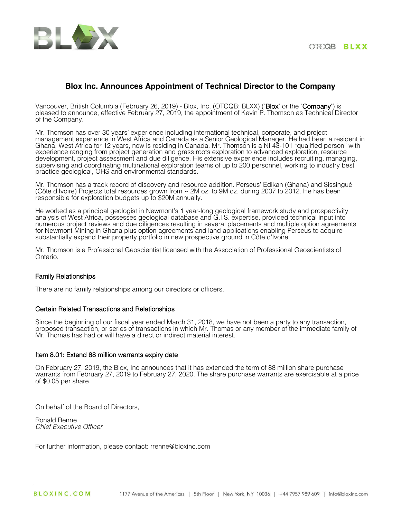



# **Blox Inc. Announces Appointment of Technical Director to the Company**

Vancouver, British Columbia (February 26, 2019) - Blox, Inc. (OTCQB: BLXX) ("Blox" or the "Company") is pleased to announce, effective February 27, 2019, the appointment of Kevin P. Thomson as Technical Director of the Company.

Mr. Thomson has over 30 years' experience including international technical, corporate, and project management experience in West Africa and Canada as a Senior Geological Manager. He had been a resident in Ghana, West Africa for 12 years, now is residing in Canada. Mr. Thomson is a NI 43-101 "qualified person" with experience ranging from project generation and grass roots exploration to advanced exploration, resource development, project assessment and due diligence. His extensive experience includes recruiting, managing, supervising and coordinating multinational exploration teams of up to 200 personnel, working to industry best practice geological, OHS and environmental standards.

Mr. Thomson has a track record of discovery and resource addition. Perseus' Edikan (Ghana) and Sissingué (Côte d'Ivoire) Projects total resources grown from ~ 2M oz. to 9M oz. during 2007 to 2012. He has been responsible for exploration budgets up to \$20M annually.

He worked as a principal geologist in Newmont's 1 year-long geological framework study and prospectivity analysis of West Africa, possesses geological database and G.I.S. expertise, provided technical input into numerous project reviews and due diligences resulting in several placements and multiple option agreements for Newmont Mining in Ghana plus option agreements and land applications enabling Perseus to acquire substantially expand their property portfolio in new prospective ground in Côte d'Ivoire.

Mr. Thomson is a Professional Geoscientist licensed with the Association of Professional Geoscientists of Ontario.

### Family Relationships

There are no family relationships among our directors or officers.

### Certain Related Transactions and Relationships

Since the beginning of our fiscal year ended March 31, 2018, we have not been a party to any transaction, proposed transaction, or series of transactions in which Mr. Thomas or any member of the immediate family of Mr. Thomas has had or will have a direct or indirect material interest.

### Item 8.01: Extend 88 million warrants expiry date

On February 27, 2019, the Blox, Inc announces that it has extended the term of 88 million share purchase warrants from February 27, 2019 to February 27, 2020. The share purchase warrants are exercisable at a price of \$0.05 per share.

On behalf of the Board of Directors,

Ronald Renne *Chief Executive Officer*

For further information, please contact: rrenne@bloxinc.com